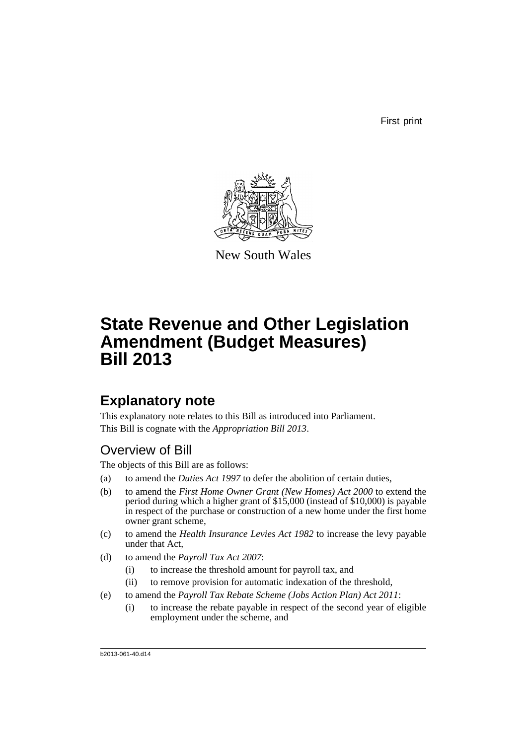First print



New South Wales

# **State Revenue and Other Legislation Amendment (Budget Measures) Bill 2013**

## **Explanatory note**

This explanatory note relates to this Bill as introduced into Parliament. This Bill is cognate with the *Appropriation Bill 2013*.

## Overview of Bill

The objects of this Bill are as follows:

- (a) to amend the *Duties Act 1997* to defer the abolition of certain duties,
- (b) to amend the *First Home Owner Grant (New Homes) Act 2000* to extend the period during which a higher grant of \$15,000 (instead of \$10,000) is payable in respect of the purchase or construction of a new home under the first home owner grant scheme,
- (c) to amend the *Health Insurance Levies Act 1982* to increase the levy payable under that Act,
- (d) to amend the *Payroll Tax Act 2007*:
	- (i) to increase the threshold amount for payroll tax, and
	- (ii) to remove provision for automatic indexation of the threshold,
- (e) to amend the *Payroll Tax Rebate Scheme (Jobs Action Plan) Act 2011*:
	- (i) to increase the rebate payable in respect of the second year of eligible employment under the scheme, and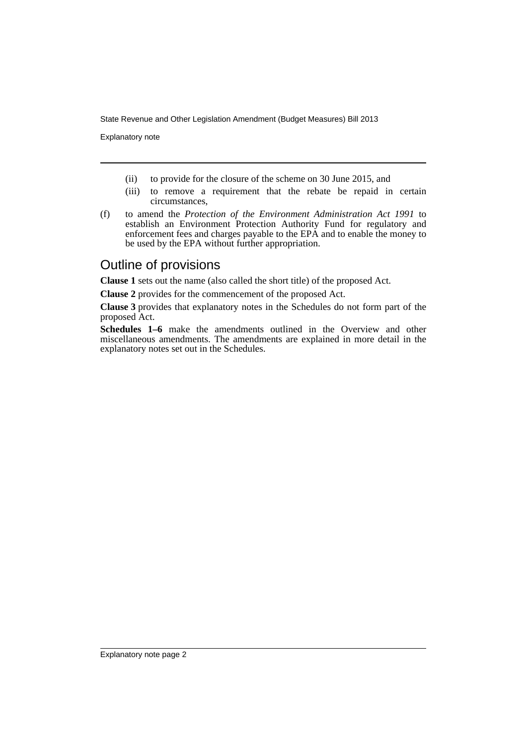Explanatory note

- (ii) to provide for the closure of the scheme on 30 June 2015, and
- (iii) to remove a requirement that the rebate be repaid in certain circumstances,
- (f) to amend the *Protection of the Environment Administration Act 1991* to establish an Environment Protection Authority Fund for regulatory and enforcement fees and charges payable to the EPA and to enable the money to be used by the EPA without further appropriation.

## Outline of provisions

**Clause 1** sets out the name (also called the short title) of the proposed Act.

**Clause 2** provides for the commencement of the proposed Act.

**Clause 3** provides that explanatory notes in the Schedules do not form part of the proposed Act.

**Schedules 1–6** make the amendments outlined in the Overview and other miscellaneous amendments. The amendments are explained in more detail in the explanatory notes set out in the Schedules.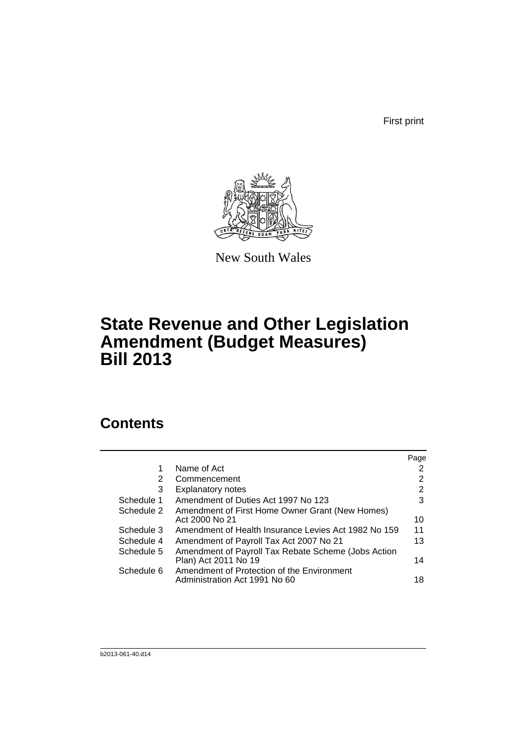First print



New South Wales

## **State Revenue and Other Legislation Amendment (Budget Measures) Bill 2013**

## **Contents**

|            |                                                      | Page |
|------------|------------------------------------------------------|------|
| 1          | Name of Act                                          | 2    |
| 2          | Commencement                                         | 2    |
| 3          | <b>Explanatory notes</b>                             | 2    |
| Schedule 1 | Amendment of Duties Act 1997 No 123                  | 3    |
| Schedule 2 | Amendment of First Home Owner Grant (New Homes)      |      |
|            | Act 2000 No 21                                       | 10   |
| Schedule 3 | Amendment of Health Insurance Levies Act 1982 No 159 | 11   |
| Schedule 4 | Amendment of Payroll Tax Act 2007 No 21              | 13   |
| Schedule 5 | Amendment of Payroll Tax Rebate Scheme (Jobs Action  |      |
|            | Plan) Act 2011 No 19                                 | 14   |
| Schedule 6 | Amendment of Protection of the Environment           |      |
|            | Administration Act 1991 No 60                        | 18   |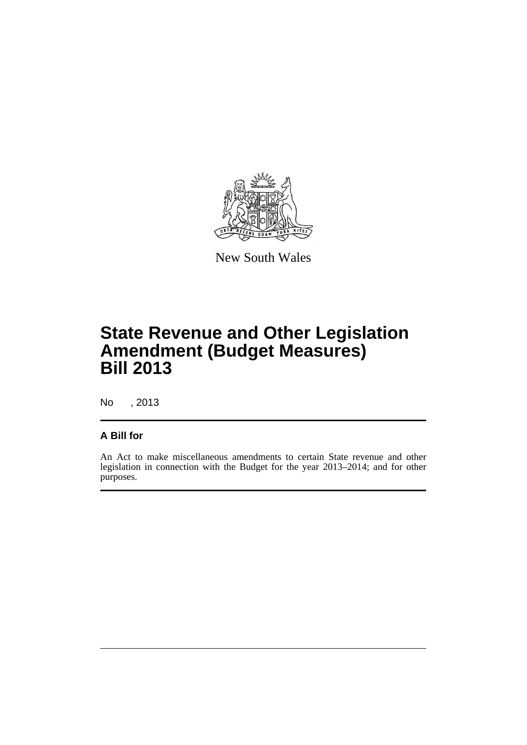

New South Wales

# **State Revenue and Other Legislation Amendment (Budget Measures) Bill 2013**

No , 2013

### **A Bill for**

An Act to make miscellaneous amendments to certain State revenue and other legislation in connection with the Budget for the year 2013–2014; and for other purposes.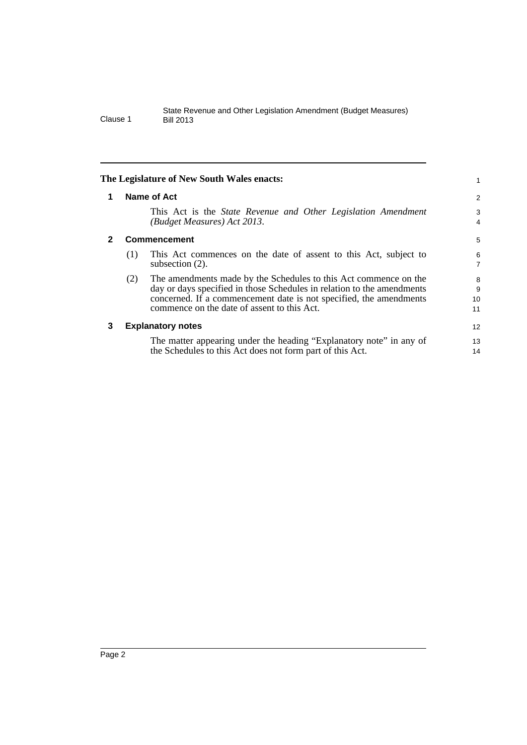<span id="page-5-2"></span><span id="page-5-1"></span><span id="page-5-0"></span>

|   |     | The Legislature of New South Wales enacts:                                                                                                                                                                                                                      |                     |
|---|-----|-----------------------------------------------------------------------------------------------------------------------------------------------------------------------------------------------------------------------------------------------------------------|---------------------|
| 1 |     | <b>Name of Act</b>                                                                                                                                                                                                                                              | 2                   |
|   |     | This Act is the State Revenue and Other Legislation Amendment<br>(Budget Measures) Act 2013.                                                                                                                                                                    | 3<br>4              |
| 2 |     | <b>Commencement</b>                                                                                                                                                                                                                                             | 5                   |
|   | (1) | This Act commences on the date of assent to this Act, subject to<br>subsection $(2)$ .                                                                                                                                                                          | 6<br>$\overline{7}$ |
|   | (2) | The amendments made by the Schedules to this Act commence on the<br>day or days specified in those Schedules in relation to the amendments<br>concerned. If a commencement date is not specified, the amendments<br>commence on the date of assent to this Act. | 8<br>9<br>10<br>11  |
| 3 |     | <b>Explanatory notes</b>                                                                                                                                                                                                                                        | 12                  |
|   |     | The matter appearing under the heading "Explanatory note" in any of<br>the Schedules to this Act does not form part of this Act.                                                                                                                                | 13<br>14            |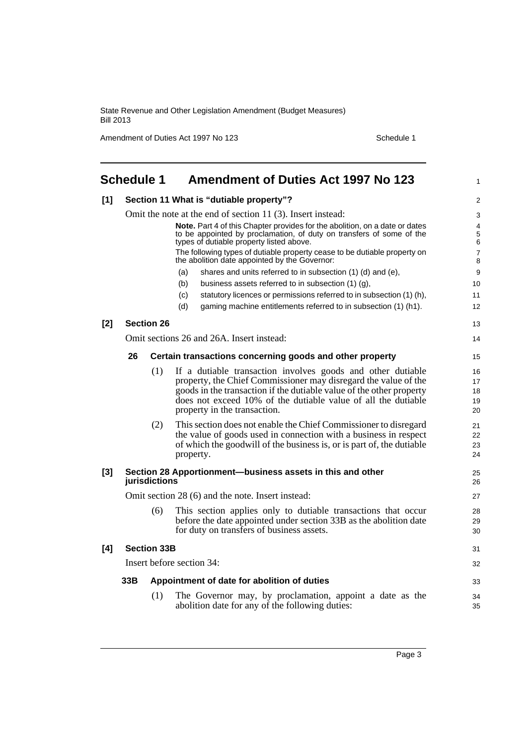Amendment of Duties Act 1997 No 123 Schedule 1

<span id="page-6-0"></span>

|       | <b>Schedule 1</b> |                    | <b>Amendment of Duties Act 1997 No 123</b>                                                                                                                             | 1                        |
|-------|-------------------|--------------------|------------------------------------------------------------------------------------------------------------------------------------------------------------------------|--------------------------|
| [1]   |                   |                    | Section 11 What is "dutiable property"?                                                                                                                                | $\overline{2}$           |
|       |                   |                    | Omit the note at the end of section 11 (3). Insert instead:                                                                                                            | 3                        |
|       |                   |                    | Note. Part 4 of this Chapter provides for the abolition, on a date or dates<br>to be appointed by proclamation, of duty on transfers of some of the                    | 4<br>5                   |
|       |                   |                    | types of dutiable property listed above.<br>The following types of dutiable property cease to be dutiable property on<br>the abolition date appointed by the Governor: | 6<br>$\overline{7}$<br>8 |
|       |                   |                    | shares and units referred to in subsection (1) (d) and (e),<br>(a)                                                                                                     | 9                        |
|       |                   |                    | (b)<br>business assets referred to in subsection (1) (g),                                                                                                              | 10                       |
|       |                   |                    | (c)<br>statutory licences or permissions referred to in subsection (1) (h),                                                                                            | 11                       |
|       |                   |                    | (d)<br>gaming machine entitlements referred to in subsection (1) (h1).                                                                                                 | 12                       |
| $[2]$ |                   | <b>Section 26</b>  |                                                                                                                                                                        | 13                       |
|       |                   |                    | Omit sections 26 and 26A. Insert instead:                                                                                                                              | 14                       |
|       | 26                |                    | Certain transactions concerning goods and other property                                                                                                               | 15                       |
|       |                   | (1)                | If a dutiable transaction involves goods and other dutiable                                                                                                            | 16                       |
|       |                   |                    | property, the Chief Commissioner may disregard the value of the                                                                                                        | 17                       |
|       |                   |                    | goods in the transaction if the dutiable value of the other property                                                                                                   | 18                       |
|       |                   |                    | does not exceed 10% of the dutiable value of all the dutiable<br>property in the transaction.                                                                          | 19<br>20                 |
|       |                   | (2)                | This section does not enable the Chief Commissioner to disregard                                                                                                       | 21                       |
|       |                   |                    | the value of goods used in connection with a business in respect                                                                                                       | 22                       |
|       |                   |                    | of which the goodwill of the business is, or is part of, the dutiable<br>property.                                                                                     | 23<br>24                 |
| $[3]$ |                   | jurisdictions      | Section 28 Apportionment-business assets in this and other                                                                                                             | 25<br>26                 |
|       |                   |                    | Omit section 28 (6) and the note. Insert instead:                                                                                                                      | 27                       |
|       |                   | (6)                | This section applies only to dutiable transactions that occur                                                                                                          | 28                       |
|       |                   |                    | before the date appointed under section 33B as the abolition date<br>for duty on transfers of business assets.                                                         | 29<br>30                 |
| [4]   |                   | <b>Section 33B</b> |                                                                                                                                                                        | 31                       |
|       |                   |                    | Insert before section 34:                                                                                                                                              | 32                       |
|       | 33B               |                    | Appointment of date for abolition of duties                                                                                                                            | 33                       |
|       |                   | (1)                | The Governor may, by proclamation, appoint a date as the<br>abolition date for any of the following duties:                                                            | 34<br>35                 |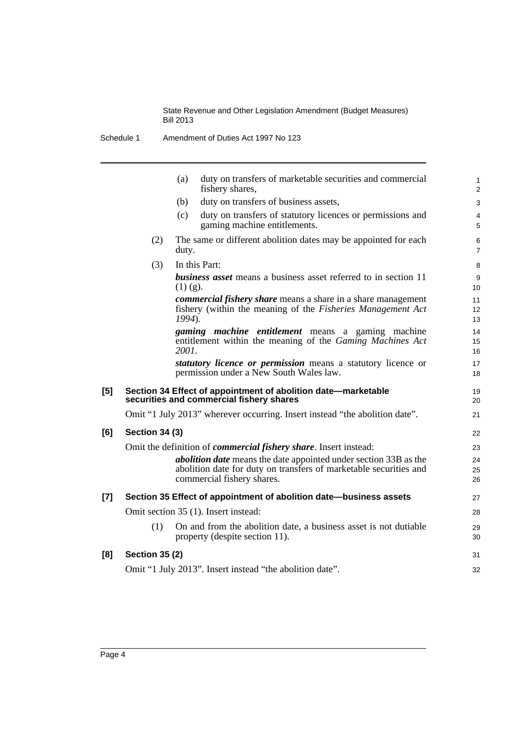Schedule 1 Amendment of Duties Act 1997 No 123

|       |                       | duty on transfers of marketable securities and commercial<br>(a)<br>fishery shares,                                                                                        |  |
|-------|-----------------------|----------------------------------------------------------------------------------------------------------------------------------------------------------------------------|--|
|       |                       | duty on transfers of business assets,<br>(b)                                                                                                                               |  |
|       |                       | duty on transfers of statutory licences or permissions and<br>(c)<br>gaming machine entitlements.                                                                          |  |
|       | (2)                   | The same or different abolition dates may be appointed for each<br>duty.                                                                                                   |  |
|       | (3)                   | In this Part:                                                                                                                                                              |  |
|       |                       | <b>business asset</b> means a business asset referred to in section 11<br>$(1)$ (g).                                                                                       |  |
|       |                       | <i>commercial fishery share</i> means a share in a share management<br>fishery (within the meaning of the Fisheries Management Act<br>1994).                               |  |
|       |                       | <i>gaming machine entitlement</i> means a gaming machine<br>entitlement within the meaning of the Gaming Machines Act<br>2001.                                             |  |
|       |                       | statutory licence or permission means a statutory licence or<br>permission under a New South Wales law.                                                                    |  |
| [5]   |                       | Section 34 Effect of appointment of abolition date-marketable<br>securities and commercial fishery shares                                                                  |  |
|       |                       | Omit "1 July 2013" wherever occurring. Insert instead "the abolition date".                                                                                                |  |
| [6]   | <b>Section 34 (3)</b> |                                                                                                                                                                            |  |
|       |                       | Omit the definition of <i>commercial fishery share</i> . Insert instead:                                                                                                   |  |
|       |                       | <i>abolition date</i> means the date appointed under section 33B as the<br>abolition date for duty on transfers of marketable securities and<br>commercial fishery shares. |  |
| $[7]$ |                       | Section 35 Effect of appointment of abolition date-business assets                                                                                                         |  |
|       |                       | Omit section 35 (1). Insert instead:                                                                                                                                       |  |
|       | (1)                   | On and from the abolition date, a business asset is not dutiable<br>property (despite section 11).                                                                         |  |
| [8]   | <b>Section 35 (2)</b> |                                                                                                                                                                            |  |
|       |                       | Omit "1 July 2013". Insert instead "the abolition date".                                                                                                                   |  |
|       |                       |                                                                                                                                                                            |  |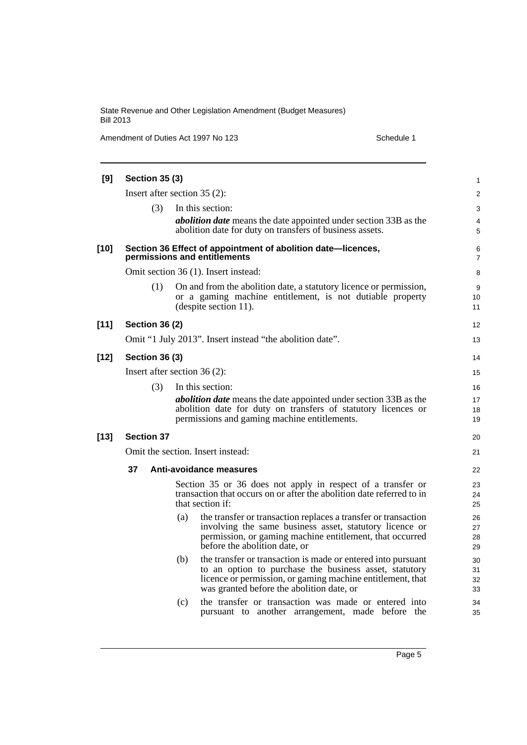Amendment of Duties Act 1997 No 123 Schedule 1

| [9]    |    | <b>Section 35 (3)</b> |     |                                                                                                                                                                                                                                   | 1                    |
|--------|----|-----------------------|-----|-----------------------------------------------------------------------------------------------------------------------------------------------------------------------------------------------------------------------------------|----------------------|
|        |    |                       |     | Insert after section $35(2)$ :                                                                                                                                                                                                    | $\overline{c}$       |
|        |    | (3)                   |     | In this section:                                                                                                                                                                                                                  | 3                    |
|        |    |                       |     | <i>abolition date</i> means the date appointed under section 33B as the                                                                                                                                                           | 4                    |
|        |    |                       |     | abolition date for duty on transfers of business assets.                                                                                                                                                                          | 5                    |
| [10]   |    |                       |     | Section 36 Effect of appointment of abolition date-licences,<br>permissions and entitlements                                                                                                                                      | 6<br>7               |
|        |    |                       |     | Omit section 36 (1). Insert instead:                                                                                                                                                                                              | 8                    |
|        |    | (1)                   |     | On and from the abolition date, a statutory licence or permission,<br>or a gaming machine entitlement, is not dutiable property<br>(despite section 11).                                                                          | 9<br>10<br>11        |
| $[11]$ |    | <b>Section 36 (2)</b> |     |                                                                                                                                                                                                                                   | 12                   |
|        |    |                       |     | Omit "1 July 2013". Insert instead "the abolition date".                                                                                                                                                                          | 13                   |
| [12]   |    | <b>Section 36 (3)</b> |     |                                                                                                                                                                                                                                   | 14                   |
|        |    |                       |     | Insert after section 36 (2):                                                                                                                                                                                                      | 15                   |
|        |    | (3)                   |     | In this section:                                                                                                                                                                                                                  | 16                   |
|        |    |                       |     | <i>abolition date</i> means the date appointed under section 33B as the<br>abolition date for duty on transfers of statutory licences or<br>permissions and gaming machine entitlements.                                          | 17<br>18<br>19       |
| $[13]$ |    | <b>Section 37</b>     |     |                                                                                                                                                                                                                                   | 20                   |
|        |    |                       |     | Omit the section. Insert instead:                                                                                                                                                                                                 | 21                   |
|        | 37 |                       |     | Anti-avoidance measures                                                                                                                                                                                                           | 22                   |
|        |    |                       |     | Section 35 or 36 does not apply in respect of a transfer or<br>transaction that occurs on or after the abolition date referred to in<br>that section if:                                                                          | 23<br>24<br>25       |
|        |    |                       | (a) | the transfer or transaction replaces a transfer or transaction<br>involving the same business asset, statutory licence or<br>permission, or gaming machine entitlement, that occurred<br>before the abolition date, or            | 26<br>27<br>28<br>29 |
|        |    |                       | (b) | the transfer or transaction is made or entered into pursuant<br>to an option to purchase the business asset, statutory<br>licence or permission, or gaming machine entitlement, that<br>was granted before the abolition date, or | 30<br>31<br>32<br>33 |
|        |    |                       | (c) | the transfer or transaction was made or entered into<br>pursuant to another arrangement, made before the                                                                                                                          | 34<br>35             |
|        |    |                       |     |                                                                                                                                                                                                                                   |                      |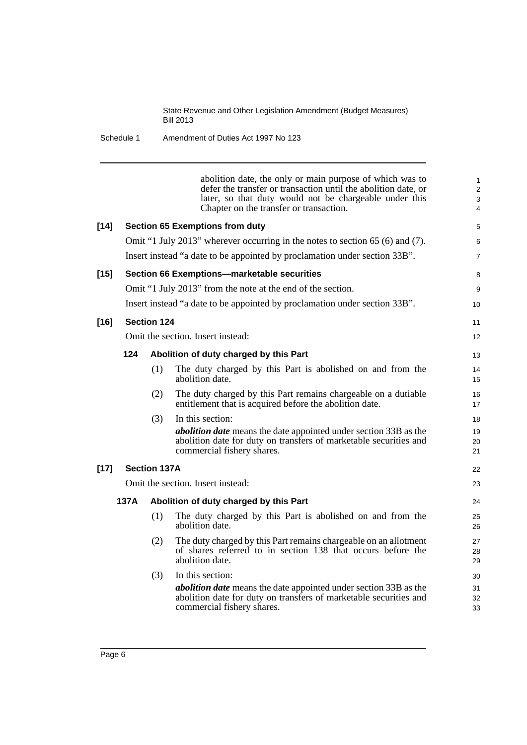Schedule 1 Amendment of Duties Act 1997 No 123

abolition date, the only or main purpose of which was to defer the transfer or transaction until the abolition date, or later, so that duty would not be chargeable under this Chapter on the transfer or transaction. **[14] Section 65 Exemptions from duty** Omit "1 July 2013" wherever occurring in the notes to section 65 (6) and (7). Insert instead "a date to be appointed by proclamation under section 33B". **[15] Section 66 Exemptions—marketable securities** Omit "1 July 2013" from the note at the end of the section. Insert instead "a date to be appointed by proclamation under section 33B". **[16] Section 124** Omit the section. Insert instead: **124 Abolition of duty charged by this Part** (1) The duty charged by this Part is abolished on and from the abolition date. (2) The duty charged by this Part remains chargeable on a dutiable entitlement that is acquired before the abolition date. (3) In this section: *abolition date* means the date appointed under section 33B as the abolition date for duty on transfers of marketable securities and commercial fishery shares. **[17] Section 137A** Omit the section. Insert instead: **137A Abolition of duty charged by this Part** (1) The duty charged by this Part is abolished on and from the abolition date. (2) The duty charged by this Part remains chargeable on an allotment of shares referred to in section 138 that occurs before the abolition date. (3) In this section: *abolition date* means the date appointed under section 33B as the abolition date for duty on transfers of marketable securities and commercial fishery shares. 1 2 3 4 5 6 7 8 9 10 11 12 13 14 15 16 17 18 19 20 21 22  $23$ 24 25 26 27 28 29 30 31 32 33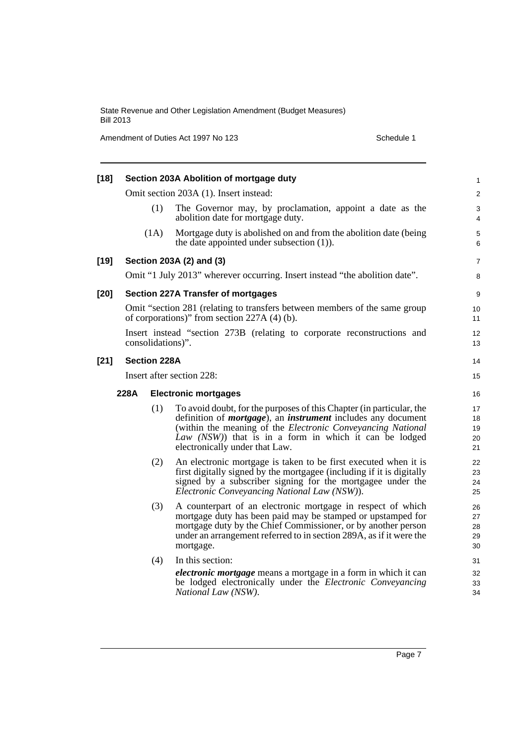Amendment of Duties Act 1997 No 123 Schedule 1

| $[18]$ |      |                     | Section 203A Abolition of mortgage duty                                                                                                                                                                                                                                                                               | 1                          |
|--------|------|---------------------|-----------------------------------------------------------------------------------------------------------------------------------------------------------------------------------------------------------------------------------------------------------------------------------------------------------------------|----------------------------|
|        |      |                     | Omit section 203A (1). Insert instead:                                                                                                                                                                                                                                                                                | $\overline{\mathbf{c}}$    |
|        |      | (1)                 | The Governor may, by proclamation, appoint a date as the<br>abolition date for mortgage duty.                                                                                                                                                                                                                         | 3<br>4                     |
|        |      | (1A)                | Mortgage duty is abolished on and from the abolition date (being)<br>the date appointed under subsection $(1)$ ).                                                                                                                                                                                                     | 5<br>6                     |
| [19]   |      |                     | Section 203A (2) and (3)                                                                                                                                                                                                                                                                                              | 7                          |
|        |      |                     | Omit "1 July 2013" wherever occurring. Insert instead "the abolition date".                                                                                                                                                                                                                                           | 8                          |
| $[20]$ |      |                     | <b>Section 227A Transfer of mortgages</b>                                                                                                                                                                                                                                                                             | 9                          |
|        |      |                     | Omit "section 281 (relating to transfers between members of the same group<br>of corporations)" from section $227A(4)$ (b).                                                                                                                                                                                           | 10<br>11                   |
|        |      | consolidations)".   | Insert instead "section 273B (relating to corporate reconstructions and                                                                                                                                                                                                                                               | 12<br>13                   |
| $[21]$ |      | <b>Section 228A</b> |                                                                                                                                                                                                                                                                                                                       | 14                         |
|        |      |                     | Insert after section 228:                                                                                                                                                                                                                                                                                             | 15                         |
|        | 228A |                     | <b>Electronic mortgages</b>                                                                                                                                                                                                                                                                                           | 16                         |
|        |      | (1)                 | To avoid doubt, for the purposes of this Chapter (in particular, the<br>definition of <i>mortgage</i> ), an <i>instrument</i> includes any document<br>(within the meaning of the <i>Electronic Conveyancing National</i><br>Law (NSW)) that is in a form in which it can be lodged<br>electronically under that Law. | 17<br>18<br>19<br>20<br>21 |
|        |      | (2)                 | An electronic mortgage is taken to be first executed when it is<br>first digitally signed by the mortgagee (including if it is digitally<br>signed by a subscriber signing for the mortgagee under the<br>Electronic Conveyancing National Law (NSW)).                                                                | 22<br>23<br>24<br>25       |
|        |      | (3)                 | A counterpart of an electronic mortgage in respect of which<br>mortgage duty has been paid may be stamped or upstamped for<br>mortgage duty by the Chief Commissioner, or by another person<br>under an arrangement referred to in section 289A, as if it were the<br>mortgage.                                       | 26<br>27<br>28<br>29<br>30 |
|        |      | (4)                 | In this section:                                                                                                                                                                                                                                                                                                      | 31                         |
|        |      |                     | <i>electronic mortgage</i> means a mortgage in a form in which it can<br>be lodged electronically under the <i>Electronic Conveyancing</i><br>National Law (NSW).                                                                                                                                                     | 32<br>33<br>34             |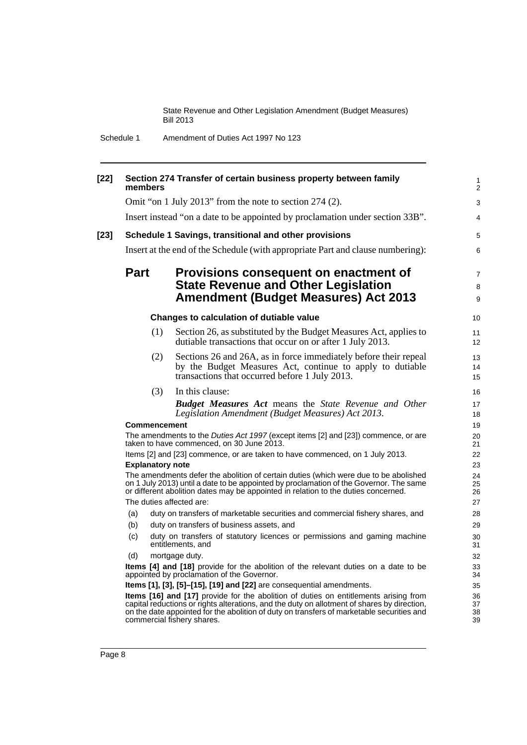Schedule 1 Amendment of Duties Act 1997 No 123

| $[22]$ | members                                                                                                                                | Section 274 Transfer of certain business property between family                                                                                                                                                                                                                                               | 1<br>$\overline{2}$      |  |  |  |
|--------|----------------------------------------------------------------------------------------------------------------------------------------|----------------------------------------------------------------------------------------------------------------------------------------------------------------------------------------------------------------------------------------------------------------------------------------------------------------|--------------------------|--|--|--|
|        |                                                                                                                                        | Omit "on 1 July 2013" from the note to section 274 (2).                                                                                                                                                                                                                                                        | 3                        |  |  |  |
|        |                                                                                                                                        | Insert instead "on a date to be appointed by proclamation under section 33B".                                                                                                                                                                                                                                  | 4                        |  |  |  |
| $[23]$ |                                                                                                                                        | Schedule 1 Savings, transitional and other provisions                                                                                                                                                                                                                                                          | 5                        |  |  |  |
|        |                                                                                                                                        | Insert at the end of the Schedule (with appropriate Part and clause numbering):                                                                                                                                                                                                                                | 6                        |  |  |  |
|        | <b>Part</b>                                                                                                                            | Provisions consequent on enactment of<br><b>State Revenue and Other Legislation</b><br><b>Amendment (Budget Measures) Act 2013</b>                                                                                                                                                                             | $\overline{7}$<br>8<br>9 |  |  |  |
|        |                                                                                                                                        | Changes to calculation of dutiable value                                                                                                                                                                                                                                                                       | 10                       |  |  |  |
|        | (1)                                                                                                                                    | Section 26, as substituted by the Budget Measures Act, applies to<br>dutiable transactions that occur on or after 1 July 2013.                                                                                                                                                                                 | 11<br>12                 |  |  |  |
|        | (2)                                                                                                                                    | Sections 26 and 26A, as in force immediately before their repeal<br>by the Budget Measures Act, continue to apply to dutiable<br>transactions that occurred before 1 July 2013.                                                                                                                                | 13<br>14<br>15           |  |  |  |
|        | (3)                                                                                                                                    | In this clause:<br><b>Budget Measures Act means the State Revenue and Other</b><br>Legislation Amendment (Budget Measures) Act 2013.                                                                                                                                                                           | 16<br>17<br>18           |  |  |  |
|        | <b>Commencement</b>                                                                                                                    |                                                                                                                                                                                                                                                                                                                |                          |  |  |  |
|        | The amendments to the <i>Duties Act 1997</i> (except items [2] and [23]) commence, or are<br>taken to have commenced, on 30 June 2013. |                                                                                                                                                                                                                                                                                                                |                          |  |  |  |
|        | Items [2] and [23] commence, or are taken to have commenced, on 1 July 2013.                                                           |                                                                                                                                                                                                                                                                                                                |                          |  |  |  |
|        | <b>Explanatory note</b>                                                                                                                |                                                                                                                                                                                                                                                                                                                |                          |  |  |  |
|        |                                                                                                                                        | The amendments defer the abolition of certain duties (which were due to be abolished<br>on 1 July 2013) until a date to be appointed by proclamation of the Governor. The same<br>or different abolition dates may be appointed in relation to the duties concerned.                                           | 24<br>25<br>26           |  |  |  |
|        |                                                                                                                                        | The duties affected are:                                                                                                                                                                                                                                                                                       | 27                       |  |  |  |
|        | (a)                                                                                                                                    | duty on transfers of marketable securities and commercial fishery shares, and                                                                                                                                                                                                                                  | 28                       |  |  |  |
|        | (b)                                                                                                                                    | duty on transfers of business assets, and                                                                                                                                                                                                                                                                      | 29                       |  |  |  |
|        | (c)                                                                                                                                    | duty on transfers of statutory licences or permissions and gaming machine<br>entitlements, and                                                                                                                                                                                                                 | 30<br>31                 |  |  |  |
|        | (d)                                                                                                                                    | mortgage duty.                                                                                                                                                                                                                                                                                                 | 32                       |  |  |  |
|        |                                                                                                                                        | Items [4] and [18] provide for the abolition of the relevant duties on a date to be<br>appointed by proclamation of the Governor.                                                                                                                                                                              | 33<br>34                 |  |  |  |
|        | Items [1], [3], [5]-[15], [19] and [22] are consequential amendments.                                                                  |                                                                                                                                                                                                                                                                                                                |                          |  |  |  |
|        |                                                                                                                                        | Items [16] and [17] provide for the abolition of duties on entitlements arising from<br>capital reductions or rights alterations, and the duty on allotment of shares by direction,<br>on the date appointed for the abolition of duty on transfers of marketable securities and<br>commercial fishery shares. | 36<br>37<br>38<br>39     |  |  |  |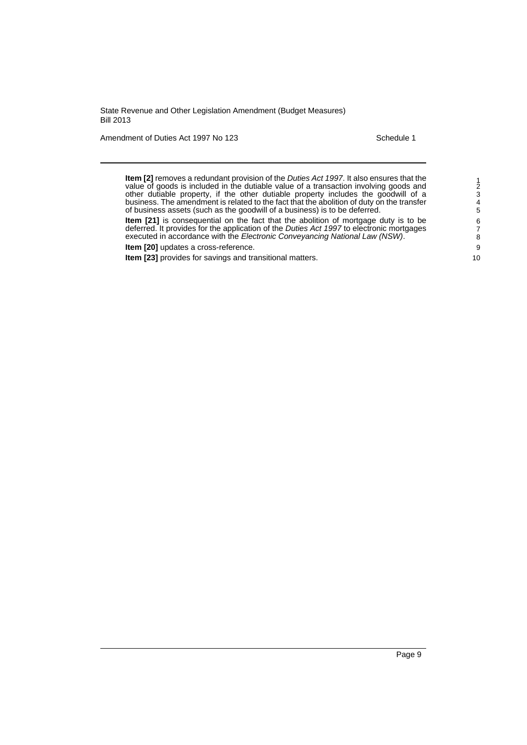Amendment of Duties Act 1997 No 123 Schedule 1

**Item [2]** removes a redundant provision of the *Duties Act 1997*. It also ensures that the value of goods is included in the dutiable value of a transaction involving goods and other dutiable property, if the other dutiable property includes the goodwill of a business. The amendment is related to the fact that the abolition of duty on the transfer of business assets (such as the goodwill of a business) is to be deferred.

**Item [21]** is consequential on the fact that the abolition of mortgage duty is to be deferred. It provides for the application of the *Duties Act 1997* to electronic mortgages executed in accordance with the *Electronic Conveyancing National Law (NSW)*.

**Item [20]** updates a cross-reference.

**Item [23]** provides for savings and transitional matters.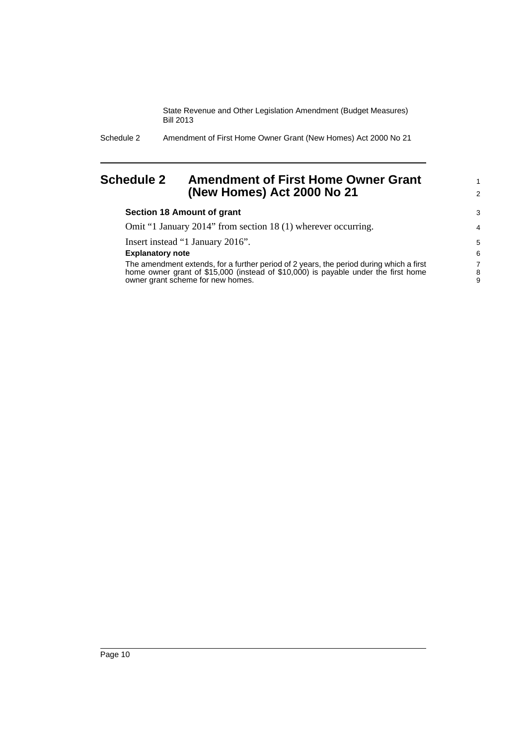> 1 2

Schedule 2 Amendment of First Home Owner Grant (New Homes) Act 2000 No 21

### <span id="page-13-0"></span>**Schedule 2 Amendment of First Home Owner Grant (New Homes) Act 2000 No 21**

### **Section 18 Amount of grant**

Omit "1 January 2014" from section 18 (1) wherever occurring.

Insert instead "1 January 2016".

### **Explanatory note**

The amendment extends, for a further period of 2 years, the period during which a first home owner grant of \$15,000 (instead of \$10,000) is payable under the first home owner grant scheme for new homes.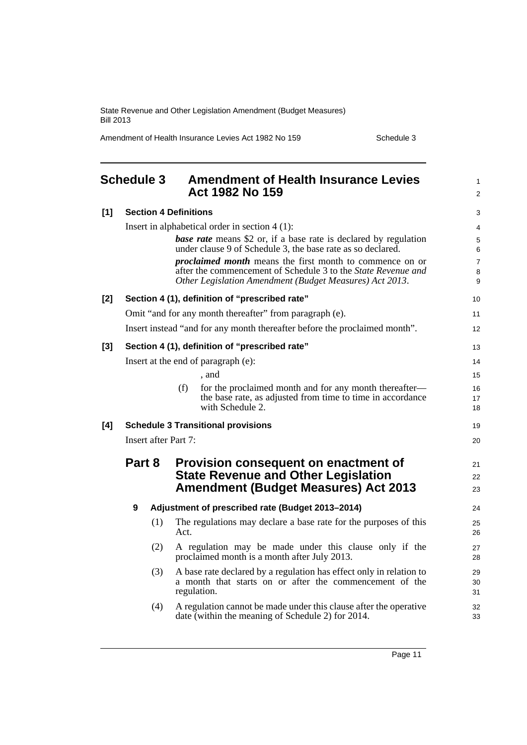Amendment of Health Insurance Levies Act 1982 No 159 Schedule 3

<span id="page-14-0"></span>

|       | <b>Schedule 3</b>                         |                                            | <b>Amendment of Health Insurance Levies</b><br>Act 1982 No 159                                                                                                                              |                          |  | 1<br>$\overline{2}$ |
|-------|-------------------------------------------|--------------------------------------------|---------------------------------------------------------------------------------------------------------------------------------------------------------------------------------------------|--------------------------|--|---------------------|
| $[1]$ |                                           |                                            | <b>Section 4 Definitions</b>                                                                                                                                                                | 3                        |  |                     |
|       |                                           |                                            | Insert in alphabetical order in section $4(1)$ :                                                                                                                                            | 4                        |  |                     |
|       |                                           |                                            | <b>base rate</b> means \$2 or, if a base rate is declared by regulation<br>under clause 9 of Schedule 3, the base rate as so declared.                                                      | 5<br>6                   |  |                     |
|       |                                           |                                            | <i>proclaimed month</i> means the first month to commence on or<br>after the commencement of Schedule 3 to the State Revenue and<br>Other Legislation Amendment (Budget Measures) Act 2013. | $\overline{7}$<br>8<br>9 |  |                     |
| $[2]$ |                                           |                                            | Section 4 (1), definition of "prescribed rate"                                                                                                                                              | 10                       |  |                     |
|       |                                           |                                            | Omit "and for any month thereafter" from paragraph (e).                                                                                                                                     | 11                       |  |                     |
|       |                                           |                                            | Insert instead "and for any month thereafter before the proclaimed month".                                                                                                                  | 12                       |  |                     |
| [3]   |                                           |                                            | Section 4 (1), definition of "prescribed rate"                                                                                                                                              | 13                       |  |                     |
|       |                                           |                                            | Insert at the end of paragraph (e):                                                                                                                                                         | 14                       |  |                     |
|       |                                           |                                            | , and                                                                                                                                                                                       | 15                       |  |                     |
|       |                                           |                                            | (f)<br>for the proclaimed month and for any month thereafter—                                                                                                                               | 16                       |  |                     |
|       |                                           |                                            | the base rate, as adjusted from time to time in accordance<br>with Schedule 2.                                                                                                              | 17<br>18                 |  |                     |
| [4]   | <b>Schedule 3 Transitional provisions</b> |                                            |                                                                                                                                                                                             |                          |  |                     |
|       | Insert after Part 7:                      |                                            |                                                                                                                                                                                             |                          |  |                     |
|       | Part 8                                    |                                            | Provision consequent on enactment of                                                                                                                                                        | 21                       |  |                     |
|       |                                           | <b>State Revenue and Other Legislation</b> | 22                                                                                                                                                                                          |                          |  |                     |
|       |                                           |                                            | <b>Amendment (Budget Measures) Act 2013</b>                                                                                                                                                 | 23                       |  |                     |
|       | $\boldsymbol{9}$                          |                                            | Adjustment of prescribed rate (Budget 2013-2014)                                                                                                                                            | 24                       |  |                     |
|       |                                           | (1)                                        | The regulations may declare a base rate for the purposes of this<br>Act.                                                                                                                    | 25<br>26                 |  |                     |
|       |                                           | (2)                                        | A regulation may be made under this clause only if the<br>proclaimed month is a month after July 2013.                                                                                      | 27<br>28                 |  |                     |
|       |                                           | (3)                                        | A base rate declared by a regulation has effect only in relation to<br>a month that starts on or after the commencement of the<br>regulation.                                               | 29<br>30<br>31           |  |                     |
|       |                                           | (4)                                        | A regulation cannot be made under this clause after the operative<br>date (within the meaning of Schedule 2) for 2014.                                                                      | 32<br>33                 |  |                     |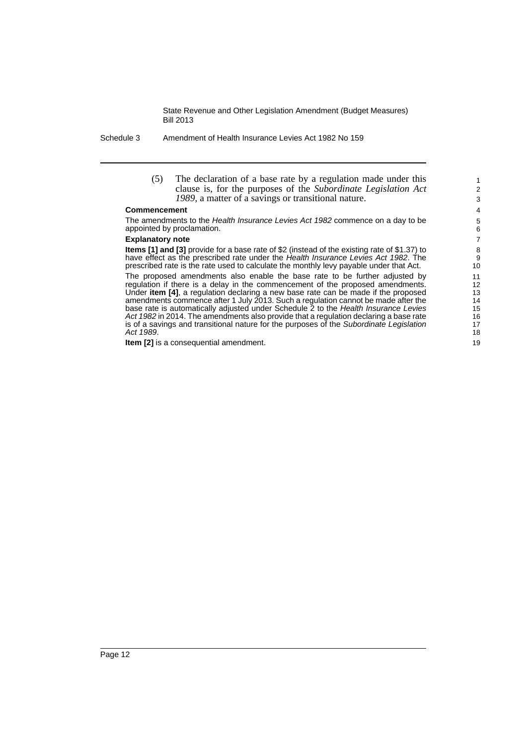Schedule 3 Amendment of Health Insurance Levies Act 1982 No 159

(5) The declaration of a base rate by a regulation made under this clause is, for the purposes of the *Subordinate Legislation Act 1989*, a matter of a savings or transitional nature.

#### **Commencement**

The amendments to the *Health Insurance Levies Act 1982* commence on a day to be appointed by proclamation.

### **Explanatory note**

**Items [1] and [3]** provide for a base rate of \$2 (instead of the existing rate of \$1.37) to have effect as the prescribed rate under the *Health Insurance Levies Act 1982*. The prescribed rate is the rate used to calculate the monthly levy payable under that Act.

The proposed amendments also enable the base rate to be further adjusted by regulation if there is a delay in the commencement of the proposed amendments. Under **item [4]**, a regulation declaring a new base rate can be made if the proposed amendments commence after 1 July 2013. Such a regulation cannot be made after the base rate is automatically adjusted under Schedule 2 to the *Health Insurance Levies Act 1982* in 2014. The amendments also provide that a regulation declaring a base rate is of a savings and transitional nature for the purposes of the *Subordinate Legislation Act 1989*.

**Item [2]** is a consequential amendment.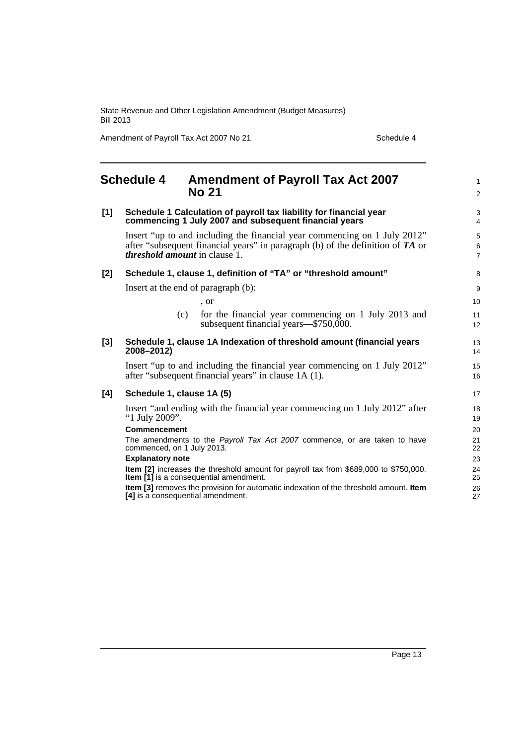Amendment of Payroll Tax Act 2007 No 21 Schedule 4

#### <span id="page-16-0"></span>**Schedule 4 Amendment of Payroll Tax Act 2007 No 21 [1] Schedule 1 Calculation of payroll tax liability for financial year commencing 1 July 2007 and subsequent financial years** Insert "up to and including the financial year commencing on 1 July 2012" after "subsequent financial years" in paragraph (b) of the definition of *TA* or *threshold amount* in clause 1. **[2] Schedule 1, clause 1, definition of "TA" or "threshold amount"** Insert at the end of paragraph (b): , or (c) for the financial year commencing on 1 July 2013 and subsequent financial years—\$750,000. **[3] Schedule 1, clause 1A Indexation of threshold amount (financial years 2008–2012)** Insert "up to and including the financial year commencing on 1 July 2012" after "subsequent financial years" in clause 1A (1). **[4] Schedule 1, clause 1A (5)** Insert "and ending with the financial year commencing on 1 July 2012" after "1 July 2009". **Commencement** The amendments to the *Payroll Tax Act 2007* commence, or are taken to have commenced, on 1 July 2013. **Explanatory note Item [2]** increases the threshold amount for payroll tax from \$689,000 to \$750,000. **Item [1]** is a consequential amendment. **Item [3]** removes the provision for automatic indexation of the threshold amount. **Item [4]** is a consequential amendment. 1  $\mathfrak{p}$  $\overline{a}$ 4 5 6 7 8 9 10 11 12 13 14 15 16 17 18 19 20 21 22 23 24 25 26 27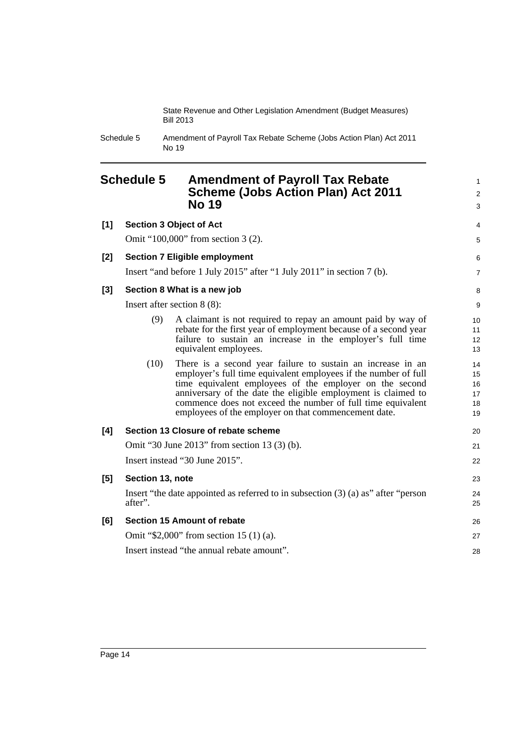> 1 2 3

Schedule 5 Amendment of Payroll Tax Rebate Scheme (Jobs Action Plan) Act 2011 No 19

### <span id="page-17-0"></span>**Schedule 5 Amendment of Payroll Tax Rebate Scheme (Jobs Action Plan) Act 2011 No 19**

| [1]   |                  | <b>Section 3 Object of Act</b>                                                                                                                                                                                                                                                                                                                                                    | 4                                |
|-------|------------------|-----------------------------------------------------------------------------------------------------------------------------------------------------------------------------------------------------------------------------------------------------------------------------------------------------------------------------------------------------------------------------------|----------------------------------|
|       |                  | Omit "100,000" from section 3 (2).                                                                                                                                                                                                                                                                                                                                                | 5                                |
| $[2]$ |                  | <b>Section 7 Eligible employment</b>                                                                                                                                                                                                                                                                                                                                              | 6                                |
|       |                  | Insert "and before 1 July 2015" after "1 July 2011" in section 7 (b).                                                                                                                                                                                                                                                                                                             | $\overline{7}$                   |
| $[3]$ |                  | Section 8 What is a new job                                                                                                                                                                                                                                                                                                                                                       | 8                                |
|       |                  | Insert after section $8(8)$ :                                                                                                                                                                                                                                                                                                                                                     | 9                                |
|       | (9)              | A claimant is not required to repay an amount paid by way of<br>rebate for the first year of employment because of a second year<br>failure to sustain an increase in the employer's full time<br>equivalent employees.                                                                                                                                                           | 10<br>11<br>12<br>13             |
|       | (10)             | There is a second year failure to sustain an increase in an<br>employer's full time equivalent employees if the number of full<br>time equivalent employees of the employer on the second<br>anniversary of the date the eligible employment is claimed to<br>commence does not exceed the number of full time equivalent<br>employees of the employer on that commencement date. | 14<br>15<br>16<br>17<br>18<br>19 |
| [4]   |                  | Section 13 Closure of rebate scheme                                                                                                                                                                                                                                                                                                                                               | 20                               |
|       |                  | Omit "30 June 2013" from section 13 (3) (b).                                                                                                                                                                                                                                                                                                                                      | 21                               |
|       |                  | Insert instead "30 June 2015".                                                                                                                                                                                                                                                                                                                                                    | 22                               |
| [5]   | Section 13, note |                                                                                                                                                                                                                                                                                                                                                                                   | 23                               |
|       | after".          | Insert "the date appointed as referred to in subsection $(3)$ (a) as" after "person                                                                                                                                                                                                                                                                                               | 24<br>25                         |
| [6]   |                  | Section 15 Amount of rebate                                                                                                                                                                                                                                                                                                                                                       | 26                               |
|       |                  | Omit "\$2,000" from section 15 (1) (a).                                                                                                                                                                                                                                                                                                                                           | 27                               |
|       |                  | Insert instead "the annual rebate amount".                                                                                                                                                                                                                                                                                                                                        | 28                               |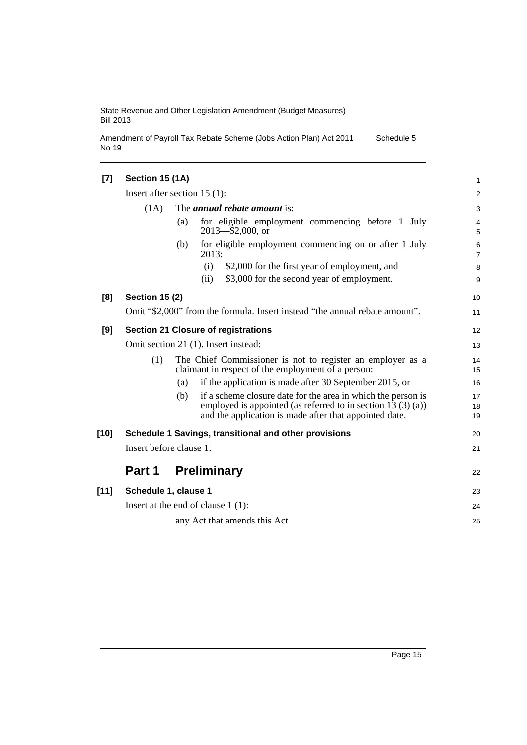Amendment of Payroll Tax Rebate Scheme (Jobs Action Plan) Act 2011 No 19 Schedule 5

| [7]    | Section 15 (1A)         |                                                                                                                                                                                                 | 1                   |
|--------|-------------------------|-------------------------------------------------------------------------------------------------------------------------------------------------------------------------------------------------|---------------------|
|        |                         | Insert after section $15(1)$ :                                                                                                                                                                  | $\overline{c}$      |
|        | (1A)                    | The <i>annual rebate amount</i> is:                                                                                                                                                             | 3                   |
|        |                         | for eligible employment commencing before 1 July<br>(a)<br>$2013 - 2000$ , or                                                                                                                   | 4<br>5              |
|        |                         | for eligible employment commencing on or after 1 July<br>(b)<br>2013:                                                                                                                           | 6<br>$\overline{7}$ |
|        |                         | (i)<br>\$2,000 for the first year of employment, and                                                                                                                                            | 8                   |
|        |                         | \$3,000 for the second year of employment.<br>(ii)                                                                                                                                              | 9                   |
| [8]    | <b>Section 15 (2)</b>   |                                                                                                                                                                                                 | 10                  |
|        |                         | Omit "\$2,000" from the formula. Insert instead "the annual rebate amount".                                                                                                                     | 11                  |
| [9]    |                         | <b>Section 21 Closure of registrations</b>                                                                                                                                                      | 12                  |
|        |                         | Omit section 21 (1). Insert instead:                                                                                                                                                            | 13                  |
|        | (1)                     | The Chief Commissioner is not to register an employer as a<br>claimant in respect of the employment of a person:                                                                                | 14<br>15            |
|        |                         | if the application is made after 30 September 2015, or<br>(a)                                                                                                                                   | 16                  |
|        |                         | if a scheme closure date for the area in which the person is<br>(b)<br>employed is appointed (as referred to in section 13 $(3)$ (a))<br>and the application is made after that appointed date. | 17<br>18<br>19      |
| $[10]$ |                         | Schedule 1 Savings, transitional and other provisions                                                                                                                                           | 20                  |
|        | Insert before clause 1: |                                                                                                                                                                                                 | 21                  |
|        | Part 1                  | <b>Preliminary</b>                                                                                                                                                                              | 22                  |
| $[11]$ | Schedule 1, clause 1    |                                                                                                                                                                                                 | 23                  |
|        |                         | Insert at the end of clause $1(1)$ :                                                                                                                                                            | 24                  |
|        |                         | any Act that amends this Act                                                                                                                                                                    | 25                  |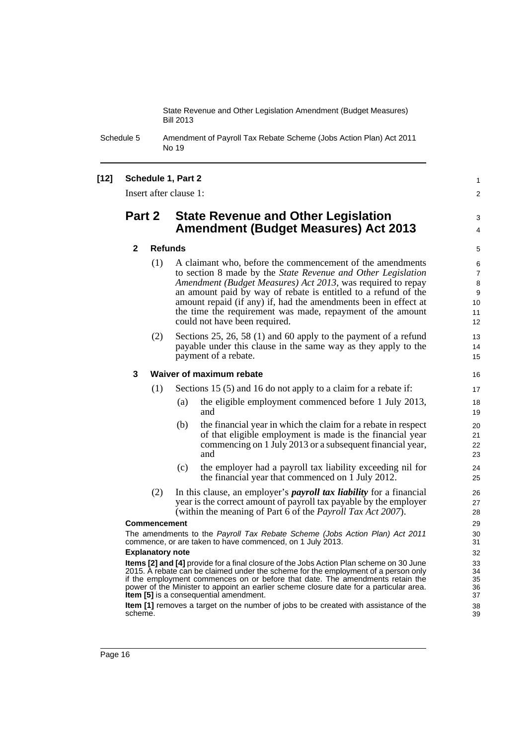Schedule 5 Amendment of Payroll Tax Rebate Scheme (Jobs Action Plan) Act 2011 No 19

### **[12] Schedule 1, Part 2**

Insert after clause 1:

### **Part 2 State Revenue and Other Legislation Amendment (Budget Measures) Act 2013**

### **2 Refunds**

- (1) A claimant who, before the commencement of the amendments to section 8 made by the *State Revenue and Other Legislation Amendment (Budget Measures) Act 2013*, was required to repay an amount paid by way of rebate is entitled to a refund of the amount repaid (if any) if, had the amendments been in effect at the time the requirement was made, repayment of the amount could not have been required.
- (2) Sections 25, 26, 58 (1) and 60 apply to the payment of a refund payable under this clause in the same way as they apply to the payment of a rebate.

### **3 Waiver of maximum rebate**

(1) Sections 15 (5) and 16 do not apply to a claim for a rebate if:

- (a) the eligible employment commenced before 1 July 2013, and
- (b) the financial year in which the claim for a rebate in respect of that eligible employment is made is the financial year commencing on 1 July 2013 or a subsequent financial year, and
- (c) the employer had a payroll tax liability exceeding nil for the financial year that commenced on 1 July 2012.
- (2) In this clause, an employer's *payroll tax liability* for a financial year is the correct amount of payroll tax payable by the employer (within the meaning of Part 6 of the *Payroll Tax Act 2007*).

### **Commencement**

The amendments to the *Payroll Tax Rebate Scheme (Jobs Action Plan) Act 2011* commence, or are taken to have commenced, on 1 July 2013.

### **Explanatory note**

**Items [2] and [4]** provide for a final closure of the Jobs Action Plan scheme on 30 June 2015. A rebate can be claimed under the scheme for the employment of a person only if the employment commences on or before that date. The amendments retain the power of the Minister to appoint an earlier scheme closure date for a particular area. **Item [5]** is a consequential amendment.

**Item [1]** removes a target on the number of jobs to be created with assistance of the scheme.

39

1  $\mathfrak{p}$ 

3 4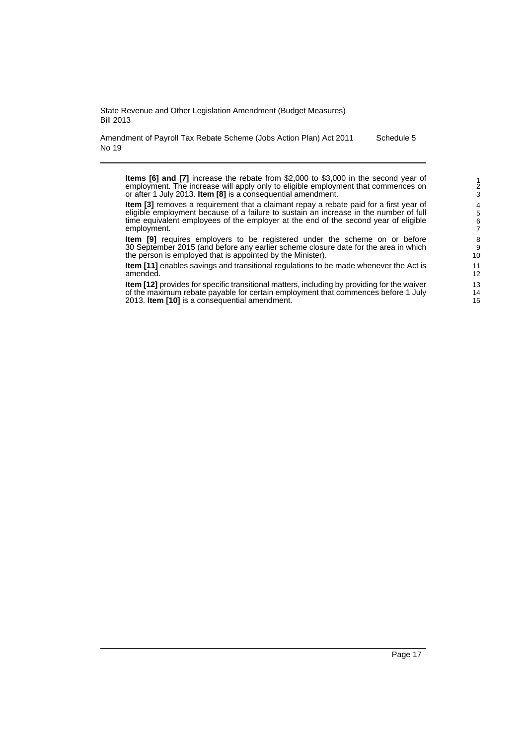Amendment of Payroll Tax Rebate Scheme (Jobs Action Plan) Act 2011 No 19 Schedule 5

**Items [6] and [7]** increase the rebate from \$2,000 to \$3,000 in the second year of employment. The increase will apply only to eligible employment that commences on or after 1 July 2013. **Item [8]** is a consequential amendment.

**Item [3]** removes a requirement that a claimant repay a rebate paid for a first year of eligible employment because of a failure to sustain an increase in the number of full time equivalent employees of the employer at the end of the second year of eligible employment.

**Item [9]** requires employers to be registered under the scheme on or before 30 September 2015 (and before any earlier scheme closure date for the area in which the person is employed that is appointed by the Minister).

**Item [11]** enables savings and transitional regulations to be made whenever the Act is amended.

**Item [12]** provides for specific transitional matters, including by providing for the waiver of the maximum rebate payable for certain employment that commences before 1 July 2013. **Item [10]** is a consequential amendment.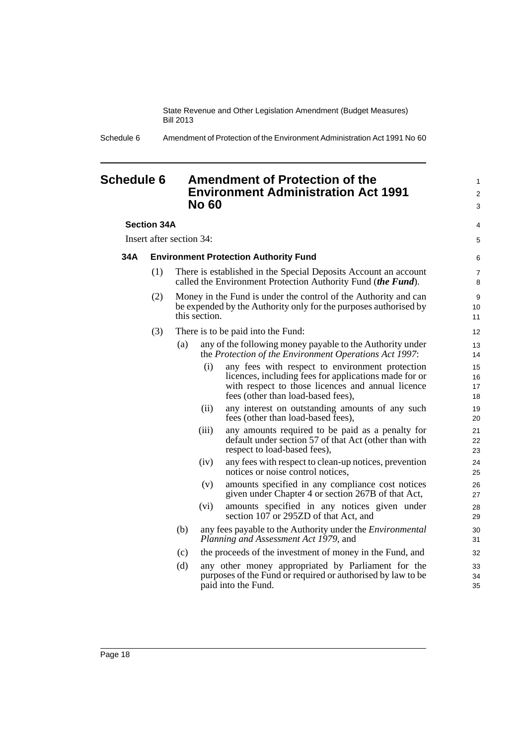Schedule 6 Amendment of Protection of the Environment Administration Act 1991 No 60

### <span id="page-21-0"></span>**Schedule 6 Amendment of Protection of the Environment Administration Act 1991 No 60**

### **Section 34A**

Insert after section 34:

### **34A Environment Protection Authority Fund**

- (1) There is established in the Special Deposits Account an account called the Environment Protection Authority Fund (*the Fund*).
- (2) Money in the Fund is under the control of the Authority and can be expended by the Authority only for the purposes authorised by this section.
- (3) There is to be paid into the Fund:
	- (a) any of the following money payable to the Authority under the *Protection of the Environment Operations Act 1997*:
		- (i) any fees with respect to environment protection licences, including fees for applications made for or with respect to those licences and annual licence fees (other than load-based fees),

1  $\mathfrak{p}$ 3

4 5

- (ii) any interest on outstanding amounts of any such fees (other than load-based fees),
- (iii) any amounts required to be paid as a penalty for default under section 57 of that Act (other than with respect to load-based fees),
- (iv) any fees with respect to clean-up notices, prevention notices or noise control notices,
- (v) amounts specified in any compliance cost notices given under Chapter 4 or section 267B of that Act,
- (vi) amounts specified in any notices given under section 107 or 295ZD of that Act, and
- (b) any fees payable to the Authority under the *Environmental Planning and Assessment Act 1979*, and
- (c) the proceeds of the investment of money in the Fund, and
- (d) any other money appropriated by Parliament for the purposes of the Fund or required or authorised by law to be paid into the Fund.